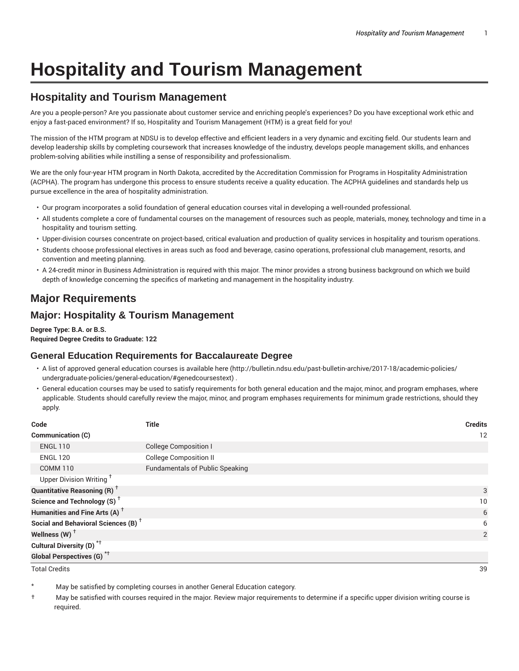# **Hospitality and Tourism Management**

# **Hospitality and Tourism Management**

Are you a people-person? Are you passionate about customer service and enriching people's experiences? Do you have exceptional work ethic and enjoy a fast-paced environment? If so, Hospitality and Tourism Management (HTM) is a great field for you!

The mission of the HTM program at NDSU is to develop effective and efficient leaders in a very dynamic and exciting field. Our students learn and develop leadership skills by completing coursework that increases knowledge of the industry, develops people management skills, and enhances problem-solving abilities while instilling a sense of responsibility and professionalism.

We are the only four-year HTM program in North Dakota, accredited by the Accreditation Commission for Programs in Hospitality Administration (ACPHA). The program has undergone this process to ensure students receive a quality education. The ACPHA guidelines and standards help us pursue excellence in the area of hospitality administration.

- Our program incorporates a solid foundation of general education courses vital in developing a well-rounded professional.
- All students complete a core of fundamental courses on the management of resources such as people, materials, money, technology and time in a hospitality and tourism setting.
- Upper-division courses concentrate on project-based, critical evaluation and production of quality services in hospitality and tourism operations.
- Students choose professional electives in areas such as food and beverage, casino operations, professional club management, resorts, and convention and meeting planning.
- A 24-credit minor in Business Administration is required with this major. The minor provides a strong business background on which we build depth of knowledge concerning the specifics of marketing and management in the hospitality industry.

# **Major Requirements**

## **Major: Hospitality & Tourism Management**

**Degree Type: B.A. or B.S. Required Degree Credits to Graduate: 122**

## **General Education Requirements for Baccalaureate Degree**

- A list of approved general education courses is available here (http://bulletin.ndsu.edu/past-bulletin-archive/2017-18/academic-policies/ undergraduate-policies/general-education/#genedcoursestext) .
- General education courses may be used to satisfy requirements for both general education and the major, minor, and program emphases, where applicable. Students should carefully review the major, minor, and program emphases requirements for minimum grade restrictions, should they apply.

| Code                                            | <b>Title</b>                           | <b>Credits</b> |
|-------------------------------------------------|----------------------------------------|----------------|
| <b>Communication (C)</b>                        |                                        | 12             |
| <b>ENGL 110</b>                                 | <b>College Composition I</b>           |                |
| <b>ENGL 120</b>                                 | <b>College Composition II</b>          |                |
| <b>COMM 110</b>                                 | <b>Fundamentals of Public Speaking</b> |                |
| Upper Division Writing <sup>†</sup>             |                                        |                |
| <b>Quantitative Reasoning (R)</b> <sup>†</sup>  |                                        | 3              |
| Science and Technology (S) <sup>+</sup>         |                                        | 10             |
| Humanities and Fine Arts (A) <sup>+</sup>       |                                        | 6              |
| Social and Behavioral Sciences (B) <sup>+</sup> |                                        | 6              |
| Wellness $(W)$ <sup>+</sup>                     |                                        | 2              |
| Cultural Diversity (D) <sup>*†</sup>            |                                        |                |
| Global Perspectives (G) <sup>*†</sup>           |                                        |                |

Total Credits 39

May be satisfied by completing courses in another General Education category.

† May be satisfied with courses required in the major. Review major requirements to determine if a specific upper division writing course is required.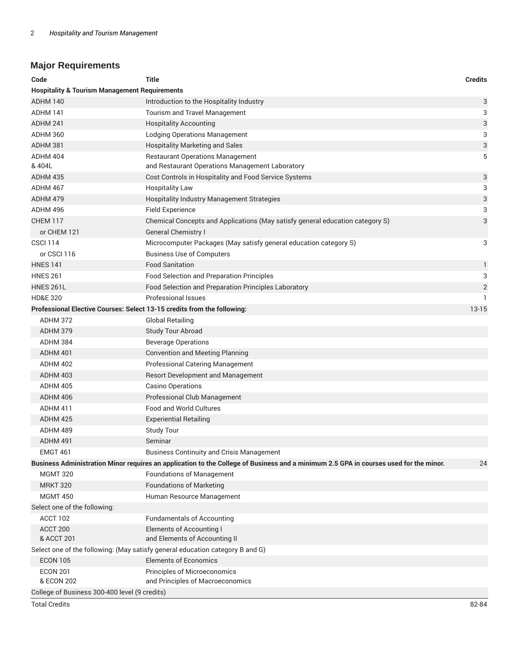# **Major Requirements**

| Code                                                                    | Title                                                                                                                                 | <b>Credits</b> |  |  |
|-------------------------------------------------------------------------|---------------------------------------------------------------------------------------------------------------------------------------|----------------|--|--|
| <b>Hospitality &amp; Tourism Management Requirements</b>                |                                                                                                                                       |                |  |  |
| <b>ADHM 140</b>                                                         | Introduction to the Hospitality Industry                                                                                              | 3              |  |  |
| ADHM 141                                                                | Tourism and Travel Management                                                                                                         | 3              |  |  |
| ADHM 241                                                                | <b>Hospitality Accounting</b>                                                                                                         | 3              |  |  |
| ADHM 360                                                                | Lodging Operations Management                                                                                                         | 3              |  |  |
| ADHM 381                                                                | <b>Hospitality Marketing and Sales</b>                                                                                                | 3              |  |  |
| ADHM 404                                                                | <b>Restaurant Operations Management</b>                                                                                               | 5              |  |  |
| & 404L                                                                  | and Restaurant Operations Management Laboratory                                                                                       |                |  |  |
| ADHM 435                                                                | Cost Controls in Hospitality and Food Service Systems                                                                                 | 3              |  |  |
| ADHM 467                                                                | <b>Hospitality Law</b>                                                                                                                | 3              |  |  |
| <b>ADHM 479</b>                                                         | Hospitality Industry Management Strategies                                                                                            | 3              |  |  |
| ADHM 496                                                                | <b>Field Experience</b>                                                                                                               | 3              |  |  |
| <b>CHEM 117</b>                                                         | Chemical Concepts and Applications (May satisfy general education category S)                                                         | 3              |  |  |
| or CHEM 121                                                             | <b>General Chemistry I</b>                                                                                                            |                |  |  |
| <b>CSCI 114</b>                                                         | Microcomputer Packages (May satisfy general education category S)                                                                     | 3              |  |  |
| or CSCI 116                                                             | <b>Business Use of Computers</b>                                                                                                      |                |  |  |
| <b>HNES 141</b>                                                         | <b>Food Sanitation</b>                                                                                                                | $\mathbf{1}$   |  |  |
| <b>HNES 261</b>                                                         | Food Selection and Preparation Principles                                                                                             | 3              |  |  |
| <b>HNES 261L</b>                                                        | Food Selection and Preparation Principles Laboratory                                                                                  | $\overline{2}$ |  |  |
| <b>HD&amp;E 320</b>                                                     | Professional Issues                                                                                                                   | $\mathbf{1}$   |  |  |
| Professional Elective Courses: Select 13-15 credits from the following: |                                                                                                                                       | $13 - 15$      |  |  |
| ADHM 372                                                                | <b>Global Retailing</b>                                                                                                               |                |  |  |
| ADHM 379                                                                | <b>Study Tour Abroad</b>                                                                                                              |                |  |  |
| ADHM 384                                                                | <b>Beverage Operations</b>                                                                                                            |                |  |  |
| ADHM 401                                                                | <b>Convention and Meeting Planning</b>                                                                                                |                |  |  |
| ADHM 402                                                                | Professional Catering Management                                                                                                      |                |  |  |
| ADHM 403                                                                | <b>Resort Development and Management</b>                                                                                              |                |  |  |
| ADHM 405                                                                | Casino Operations                                                                                                                     |                |  |  |
| ADHM 406                                                                | Professional Club Management                                                                                                          |                |  |  |
| ADHM 411                                                                | <b>Food and World Cultures</b>                                                                                                        |                |  |  |
| ADHM 425                                                                | <b>Experiential Retailing</b>                                                                                                         |                |  |  |
| ADHM 489                                                                | <b>Study Tour</b>                                                                                                                     |                |  |  |
| ADHM 491                                                                | Seminar                                                                                                                               |                |  |  |
| EMGT 461                                                                | <b>Business Continuity and Crisis Management</b>                                                                                      |                |  |  |
|                                                                         | Business Administration Minor requires an application to the College of Business and a minimum 2.5 GPA in courses used for the minor. | 24             |  |  |
| <b>MGMT 320</b>                                                         | <b>Foundations of Management</b>                                                                                                      |                |  |  |
| <b>MRKT 320</b>                                                         | <b>Foundations of Marketing</b>                                                                                                       |                |  |  |
| <b>MGMT 450</b>                                                         | Human Resource Management                                                                                                             |                |  |  |
| Select one of the following:                                            |                                                                                                                                       |                |  |  |
| ACCT 102                                                                | <b>Fundamentals of Accounting</b>                                                                                                     |                |  |  |
| ACCT 200                                                                | <b>Elements of Accounting I</b>                                                                                                       |                |  |  |
| & ACCT 201                                                              | and Elements of Accounting II                                                                                                         |                |  |  |
|                                                                         | Select one of the following: (May satisfy general education category B and G)                                                         |                |  |  |
| <b>ECON 105</b>                                                         | <b>Elements of Economics</b>                                                                                                          |                |  |  |
| <b>ECON 201</b>                                                         | <b>Principles of Microeconomics</b>                                                                                                   |                |  |  |
| & ECON 202                                                              | and Principles of Macroeconomics                                                                                                      |                |  |  |
| College of Business 300-400 level (9 credits)                           |                                                                                                                                       |                |  |  |

Total Credits 82-84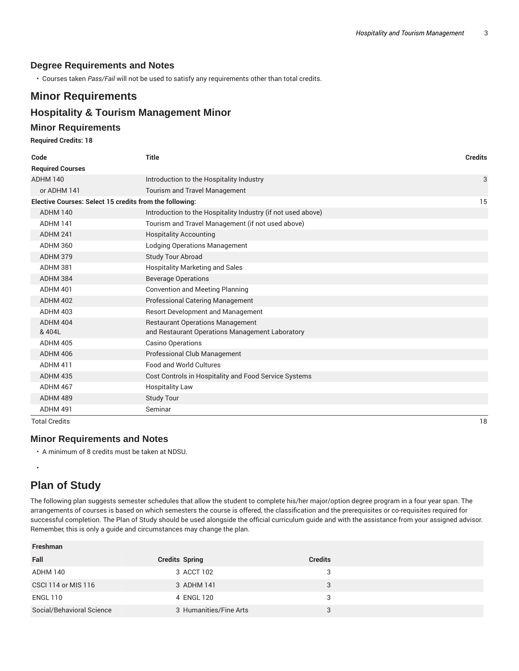### **Degree Requirements and Notes**

• Courses taken *Pass/Fail* will not be used to satisfy any requirements other than total credits.

## **Minor Requirements**

# **Hospitality & Tourism Management Minor**

#### **Minor Requirements**

#### **Required Credits: 18**

| Code                                                    | <b>Title</b>                                                 | <b>Credits</b> |
|---------------------------------------------------------|--------------------------------------------------------------|----------------|
| <b>Required Courses</b>                                 |                                                              |                |
| <b>ADHM 140</b>                                         | Introduction to the Hospitality Industry                     | 3              |
| or ADHM 141                                             | <b>Tourism and Travel Management</b>                         |                |
| Elective Courses: Select 15 credits from the following: |                                                              | 15             |
| <b>ADHM 140</b>                                         | Introduction to the Hospitality Industry (if not used above) |                |
| ADHM 141                                                | Tourism and Travel Management (if not used above)            |                |
| ADHM 241                                                | <b>Hospitality Accounting</b>                                |                |
| <b>ADHM 360</b>                                         | <b>Lodging Operations Management</b>                         |                |
| <b>ADHM 379</b>                                         | Study Tour Abroad                                            |                |
| ADHM 381                                                | <b>Hospitality Marketing and Sales</b>                       |                |
| <b>ADHM 384</b>                                         | <b>Beverage Operations</b>                                   |                |
| <b>ADHM 401</b>                                         | <b>Convention and Meeting Planning</b>                       |                |
| <b>ADHM 402</b>                                         | Professional Catering Management                             |                |
| <b>ADHM 403</b>                                         | Resort Development and Management                            |                |
| ADHM 404                                                | <b>Restaurant Operations Management</b>                      |                |
| & 404L                                                  | and Restaurant Operations Management Laboratory              |                |
| <b>ADHM 405</b>                                         | <b>Casino Operations</b>                                     |                |
| <b>ADHM 406</b>                                         | Professional Club Management                                 |                |
| ADHM 411                                                | Food and World Cultures                                      |                |
| <b>ADHM 435</b>                                         | Cost Controls in Hospitality and Food Service Systems        |                |
| ADHM 467                                                | <b>Hospitality Law</b>                                       |                |
| ADHM 489                                                | <b>Study Tour</b>                                            |                |
| ADHM 491                                                | Seminar                                                      |                |

Total Credits 18

•

**Freshman**

#### **Minor Requirements and Notes**

• A minimum of 8 credits must be taken at NDSU.

# **Plan of Study**

The following plan suggests semester schedules that allow the student to complete his/her major/option degree program in a four year span. The arrangements of courses is based on which semesters the course is offered, the classification and the prerequisites or co-requisites required for successful completion. The Plan of Study should be used alongside the official curriculum guide and with the assistance from your assigned advisor. Remember, this is only a guide and circumstances may change the plan.

| Freshman                  |                        |                |  |
|---------------------------|------------------------|----------------|--|
| Fall                      | <b>Credits Spring</b>  | <b>Credits</b> |  |
| ADHM 140                  | 3 ACCT 102             | 3              |  |
| CSCI 114 or MIS 116       | 3 ADHM 141             | 3              |  |
| <b>ENGL 110</b>           | 4 ENGL 120             | 3              |  |
| Social/Behavioral Science | 3 Humanities/Fine Arts | Q              |  |